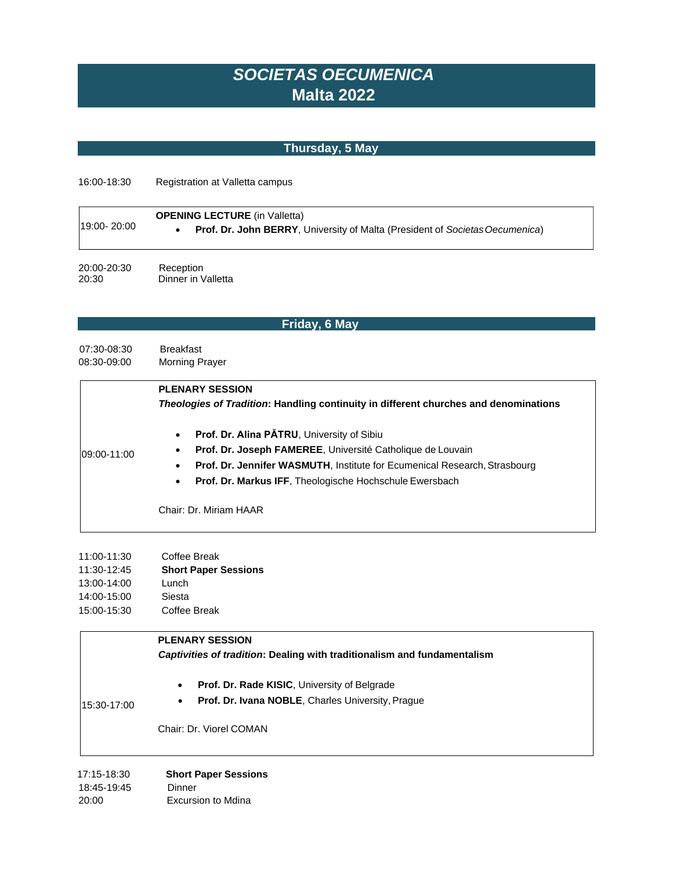# *SOCIETAS OECUMENICA* **Malta 2022**

# **Thursday, 5 May**

16:00-18:30 Registration at Valletta campus

| 19:00-20:00     | <b>OPENING LECTURE</b> (in Valletta)<br><b>Prof. Dr. John BERRY, University of Malta (President of Societas Oecumenica)</b> |
|-----------------|-----------------------------------------------------------------------------------------------------------------------------|
| $20.00 - 20.30$ | <b>Reception</b>                                                                                                            |

20:00-20:30 Reception<br>20:30 Dinner in \ Dinner in Valletta

# **Friday, 6 May**

07:30-08:30 Breakfast 08:30-09:00 Morning Prayer

|                  | <b>PLENARY SESSION</b>                                                                      |
|------------------|---------------------------------------------------------------------------------------------|
|                  | <b>Theologies of Tradition: Handling continuity in different churches and denominations</b> |
| $109:00 - 11:00$ | Prof. Dr. Alina PATRU, University of Sibiu<br>$\bullet$                                     |
|                  | Prof. Dr. Joseph FAMEREE, Université Catholique de Louvain                                  |
|                  | Prof. Dr. Jennifer WASMUTH, Institute for Ecumenical Research, Strasbourg<br>٠              |
|                  | <b>Prof. Dr. Markus IFF, Theologische Hochschule Ewersbach</b><br>٠                         |
|                  |                                                                                             |
|                  | Chair: Dr. Miriam HAAR                                                                      |

| 11:00-11:30 | Coffee Break                |
|-------------|-----------------------------|
| 11:30-12:45 | <b>Short Paper Sessions</b> |
| 13:00-14:00 | Lunch                       |
| 14:00-15:00 | Siesta                      |
| 15:00-15:30 | Coffee Break                |

#### **PLENARY SESSION**

#### *Captivities of tradition***: Dealing with traditionalism and fundamentalism**

• **Prof. Dr. Rade KISIC**, University of Belgrade

15:30-17:00

• **Prof. Dr. Ivana NOBLE**, Charles University, Prague

Chair: Dr. Viorel COMAN

| 17:15-18:30 | <b>Short Paper Sessions</b> |
|-------------|-----------------------------|
| 18:45-19:45 | Dinner                      |
| 20:00       | Excursion to Mdina          |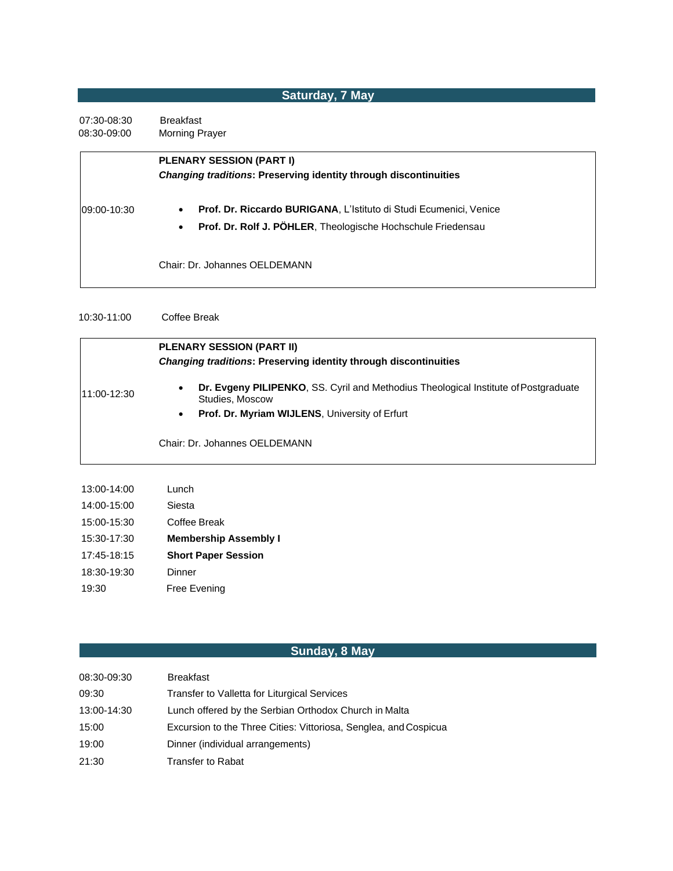#### **Saturday, 7 May**

07:30-08:30 Breakfast 08:30-09:00 Morning Prayer

|             | <b>PLENARY SESSION (PART I)</b><br><b>Changing traditions: Preserving identity through discontinuities</b>                                                   |
|-------------|--------------------------------------------------------------------------------------------------------------------------------------------------------------|
| 09:00-10:30 | Prof. Dr. Riccardo BURIGANA, L'Istituto di Studi Ecumenici, Venice<br>$\bullet$<br>Prof. Dr. Rolf J. PÖHLER, Theologische Hochschule Friedensau<br>$\bullet$ |
|             | Chair: Dr. Johannes OELDEMANN                                                                                                                                |

10:30-11:00 Coffee Break

11:00-12:30 **PLENARY SESSION (PART II)** *Changing traditions***: Preserving identity through discontinuities** • **Dr. Evgeny PILIPENKO**, SS. Cyril and Methodius Theological Institute ofPostgraduate Studies, Moscow • **Prof. Dr. Myriam WIJLENS**, University of Erfurt Chair: Dr. Johannes OELDEMANN 13:00-14:00 Lunch 14:00-15:00 Siesta

15:00-15:30 Coffee Break

15:30-17:30 **Membership Assembly I** 

17:45-18:15 **Short Paper Session** 

18:30-19:30 Dinner

19:30 Free Evening

#### **Sunday, 8 May**

| 08:30-09:30 | <b>Breakfast</b>                                                 |
|-------------|------------------------------------------------------------------|
| 09:30       | Transfer to Valletta for Liturgical Services                     |
| 13:00-14:30 | Lunch offered by the Serbian Orthodox Church in Malta            |
| 15:00       | Excursion to the Three Cities: Vittoriosa, Senglea, and Cospicua |
| 19:00       | Dinner (individual arrangements)                                 |
| 21:30       | Transfer to Rabat                                                |